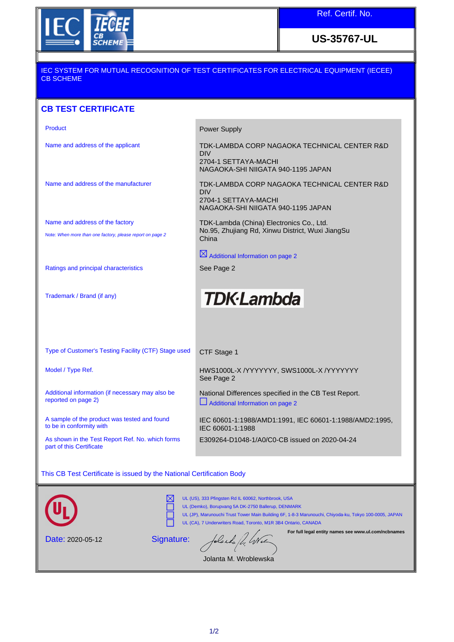

**US-35767-UL**

## IEC SYSTEM FOR MUTUAL RECOGNITION OF TEST CERTIFICATES FOR ELECTRICAL EQUIPMENT (IECEE) CB SCHEME

## **CB TEST CERTIFICATE**

| Product                                                                                      | <b>Power Supply</b>                                                                                                      |
|----------------------------------------------------------------------------------------------|--------------------------------------------------------------------------------------------------------------------------|
| Name and address of the applicant                                                            | TDK-LAMBDA CORP NAGAOKA TECHNICAL CENTER R&D<br><b>DIV</b><br>2704-1 SETTAYA-MACHI<br>NAGAOKA-SHI NIIGATA 940-1195 JAPAN |
| Name and address of the manufacturer                                                         | TDK-LAMBDA CORP NAGAOKA TECHNICAL CENTER R&D<br><b>DIV</b><br>2704-1 SETTAYA-MACHI<br>NAGAOKA-SHI NIIGATA 940-1195 JAPAN |
| Name and address of the factory<br>Note: When more than one factory, please report on page 2 | TDK-Lambda (China) Electronics Co., Ltd.<br>No.95, Zhujiang Rd, Xinwu District, Wuxi JiangSu<br>China                    |
|                                                                                              | $\boxtimes$ Additional Information on page 2                                                                             |
| Ratings and principal characteristics                                                        | See Page 2                                                                                                               |
| Trademark / Brand (if any)                                                                   | <b>TDK</b> -Lambda                                                                                                       |

Type of Customer's Testing Facility (CTF) Stage used CTF Stage 1

Additional information (if necessary may also be reported on page 2)

A sample of the product was tested and found to be in conformity with

As shown in the Test Report Ref. No. which forms part of this Certificate

Model / Type Ref. **HWS1000L-X /YYYYYYY, SWS1000L-X /YYYYYYYY** See Page 2

> National Differences specified in the CB Test Report. Additional Information on page 2

IEC 60601-1:1988/AMD1:1991, IEC 60601-1:1988/AMD2:1995, IEC 60601-1:1988 E309264-D1048-1/A0/C0-CB issued on 2020-04-24

## This CB Test Certificate is issued by the National Certification Body

|                         | UL (US), 333 Pfingsten Rd IL 60062, Northbrook, USA<br>UL (Demko), Borupvang 5A DK-2750 Ballerup, DENMARK<br>UL (JP), Marunouchi Trust Tower Main Building 6F, 1-8-3 Marunouchi, Chiyoda-ku, Tokyo 100-0005, JAPAN<br>UL (CA), 7 Underwriters Road, Toronto, M1R 3B4 Ontario, CANADA |  |
|-------------------------|--------------------------------------------------------------------------------------------------------------------------------------------------------------------------------------------------------------------------------------------------------------------------------------|--|
| <b>Date: 2020-05-12</b> | For full legal entity names see www.ul.com/ncbnames<br>folanda de Wie<br>Signature:                                                                                                                                                                                                  |  |

Jolanta M. Wroblewska